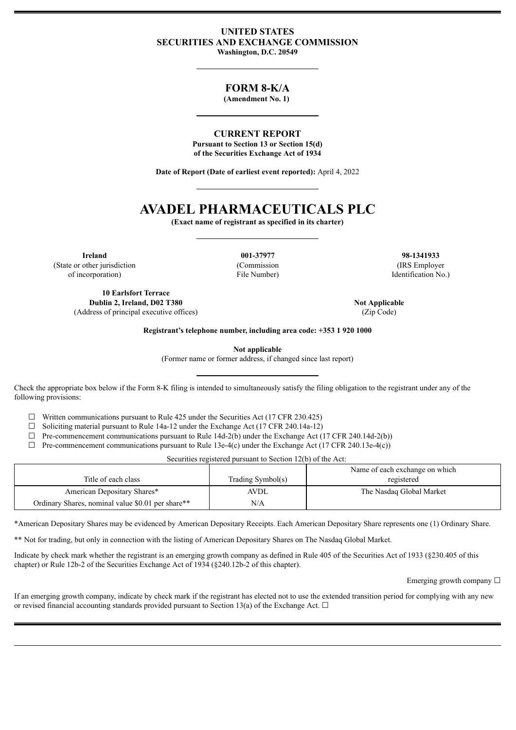## **UNITED STATES SECURITIES AND EXCHANGE COMMISSION**

**Washington, D.C. 20549**

## **FORM 8-K/A**

**(Amendment No. 1)**

#### **CURRENT REPORT**

**Pursuant to Section 13 or Section 15(d) of the Securities Exchange Act of 1934**

**Date of Report (Date of earliest event reported):** April 4, 2022

# **AVADEL PHARMACEUTICALS PLC**

**(Exact name of registrant as specified in its charter)**

**Ireland 001-37977 98-1341933** (State or other jurisdiction (Commission (IRS Employer of incorporation) File Number) Identification No.)

**10 Earlsfort Terrace Dublin 2, Ireland, D02 T380 Not Applicable Not Not Applicable** (Address of principal executive offices) (Zip Code)

**Registrant's telephone number, including area code: +353 1 920 1000**

**Not applicable**

(Former name or former address, if changed since last report)

Check the appropriate box below if the Form 8-K filing is intended to simultaneously satisfy the filing obligation to the registrant under any of the following provisions:

 $\Box$  Written communications pursuant to Rule 425 under the Securities Act (17 CFR 230.425)

 $\Box$  Soliciting material pursuant to Rule 14a-12 under the Exchange Act (17 CFR 240.14a-12)

 $\Box$  Pre-commencement communications pursuant to Rule 14d-2(b) under the Exchange Act (17 CFR 240.14d-2(b))

 $\Box$  Pre-commencement communications pursuant to Rule 13e-4(c) under the Exchange Act (17 CFR 240.13e-4(c))

Securities registered pursuant to Section 12(b) of the Act:

| Title of each class                               | Trading Symbol(s) | Name of each exchange on which<br>registered |
|---------------------------------------------------|-------------------|----------------------------------------------|
| American Depositary Shares*                       | AVDL              | The Nasdaq Global Market                     |
| Ordinary Shares, nominal value \$0.01 per share** | N/A               |                                              |

\*American Depositary Shares may be evidenced by American Depositary Receipts. Each American Depositary Share represents one (1) Ordinary Share.

\*\* Not for trading, but only in connection with the listing of American Depositary Shares on The Nasdaq Global Market.

Indicate by check mark whether the registrant is an emerging growth company as defined in Rule 405 of the Securities Act of 1933 (§230.405 of this chapter) or Rule 12b-2 of the Securities Exchange Act of 1934 (§240.12b-2 of this chapter).

Emerging growth company  $\Box$ 

If an emerging growth company, indicate by check mark if the registrant has elected not to use the extended transition period for complying with any new or revised financial accounting standards provided pursuant to Section 13(a) of the Exchange Act.  $\Box$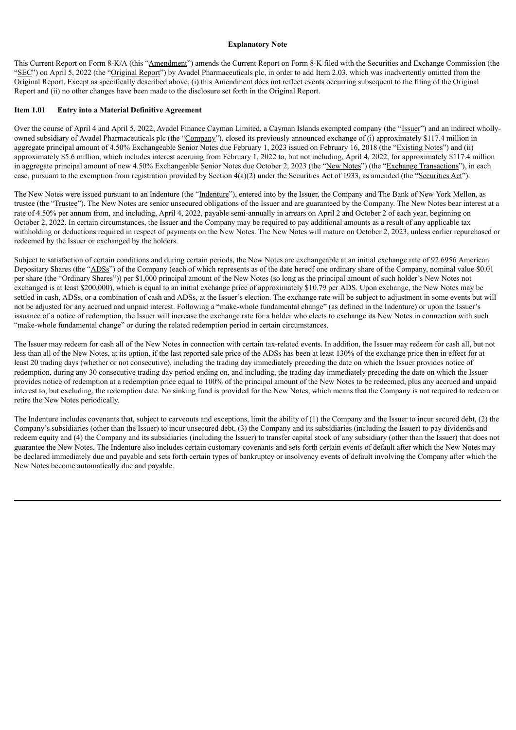#### **Explanatory Note**

This Current Report on Form 8-K/A (this "Amendment") amends the Current Report on Form 8-K filed with the Securities and Exchange Commission (the "SEC") on April 5, 2022 (the "Original Report") by Avadel Pharmaceuticals plc, in order to add Item 2.03, which was inadvertently omitted from the Original Report. Except as specifically described above, (i) this Amendment does not reflect events occurring subsequent to the filing of the Original Report and (ii) no other changes have been made to the disclosure set forth in the Original Report.

#### **Item 1.01 Entry into a Material Definitive Agreement**

Over the course of April 4 and April 5, 2022, Avadel Finance Cayman Limited, a Cayman Islands exempted company (the "Issuer") and an indirect whollyowned subsidiary of Avadel Pharmaceuticals plc (the "Company"), closed its previously announced exchange of (i) approximately \$117.4 million in aggregate principal amount of 4.50% Exchangeable Senior Notes due February 1, 2023 issued on February 16, 2018 (the "Existing Notes") and (ii) approximately \$5.6 million, which includes interest accruing from February 1, 2022 to, but not including, April 4, 2022, for approximately \$117.4 million in aggregate principal amount of new 4.50% Exchangeable Senior Notes due October 2, 2023 (the "New Notes") (the "Exchange Transactions"), in each case, pursuant to the exemption from registration provided by Section 4(a)(2) under the Securities Act of 1933, as amended (the "Securities Act").

The New Notes were issued pursuant to an Indenture (the "Indenture"), entered into by the Issuer, the Company and The Bank of New York Mellon, as trustee (the "Trustee"). The New Notes are senior unsecured obligations of the Issuer and are guaranteed by the Company. The New Notes bear interest at a rate of 4.50% per annum from, and including, April 4, 2022, payable semi-annually in arrears on April 2 and October 2 of each year, beginning on October 2, 2022. In certain circumstances, the Issuer and the Company may be required to pay additional amounts as a result of any applicable tax withholding or deductions required in respect of payments on the New Notes. The New Notes will mature on October 2, 2023, unless earlier repurchased or redeemed by the Issuer or exchanged by the holders.

Subject to satisfaction of certain conditions and during certain periods, the New Notes are exchangeable at an initial exchange rate of 92.6956 American Depositary Shares (the "ADSs") of the Company (each of which represents as of the date hereof one ordinary share of the Company, nominal value \$0.01 per share (the "Ordinary Shares")) per \$1,000 principal amount of the New Notes (so long as the principal amount of such holder's New Notes not exchanged is at least \$200,000), which is equal to an initial exchange price of approximately \$10.79 per ADS. Upon exchange, the New Notes may be settled in cash, ADSs, or a combination of cash and ADSs, at the Issuer's election. The exchange rate will be subject to adjustment in some events but will not be adjusted for any accrued and unpaid interest. Following a "make-whole fundamental change" (as defined in the Indenture) or upon the Issuer's issuance of a notice of redemption, the Issuer will increase the exchange rate for a holder who elects to exchange its New Notes in connection with such "make-whole fundamental change" or during the related redemption period in certain circumstances.

The Issuer may redeem for cash all of the New Notes in connection with certain tax-related events. In addition, the Issuer may redeem for cash all, but not less than all of the New Notes, at its option, if the last reported sale price of the ADSs has been at least 130% of the exchange price then in effect for at least 20 trading days (whether or not consecutive), including the trading day immediately preceding the date on which the Issuer provides notice of redemption, during any 30 consecutive trading day period ending on, and including, the trading day immediately preceding the date on which the Issuer provides notice of redemption at a redemption price equal to 100% of the principal amount of the New Notes to be redeemed, plus any accrued and unpaid interest to, but excluding, the redemption date. No sinking fund is provided for the New Notes, which means that the Company is not required to redeem or retire the New Notes periodically.

The Indenture includes covenants that, subject to carveouts and exceptions, limit the ability of (1) the Company and the Issuer to incur secured debt, (2) the Company's subsidiaries (other than the Issuer) to incur unsecured debt, (3) the Company and its subsidiaries (including the Issuer) to pay dividends and redeem equity and (4) the Company and its subsidiaries (including the Issuer) to transfer capital stock of any subsidiary (other than the Issuer) that does not guarantee the New Notes. The Indenture also includes certain customary covenants and sets forth certain events of default after which the New Notes may be declared immediately due and payable and sets forth certain types of bankruptcy or insolvency events of default involving the Company after which the New Notes become automatically due and payable.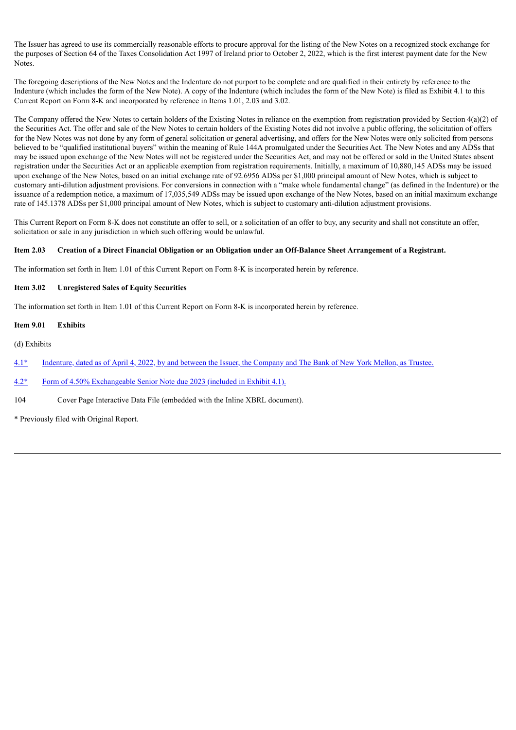The Issuer has agreed to use its commercially reasonable efforts to procure approval for the listing of the New Notes on a recognized stock exchange for the purposes of Section 64 of the Taxes Consolidation Act 1997 of Ireland prior to October 2, 2022, which is the first interest payment date for the New Notes.

The foregoing descriptions of the New Notes and the Indenture do not purport to be complete and are qualified in their entirety by reference to the Indenture (which includes the form of the New Note). A copy of the Indenture (which includes the form of the New Note) is filed as Exhibit 4.1 to this Current Report on Form 8-K and incorporated by reference in Items 1.01, 2.03 and 3.02.

The Company offered the New Notes to certain holders of the Existing Notes in reliance on the exemption from registration provided by Section 4(a)(2) of the Securities Act. The offer and sale of the New Notes to certain holders of the Existing Notes did not involve a public offering, the solicitation of offers for the New Notes was not done by any form of general solicitation or general advertising, and offers for the New Notes were only solicited from persons believed to be "qualified institutional buyers" within the meaning of Rule 144A promulgated under the Securities Act. The New Notes and any ADSs that may be issued upon exchange of the New Notes will not be registered under the Securities Act, and may not be offered or sold in the United States absent registration under the Securities Act or an applicable exemption from registration requirements. Initially, a maximum of 10,880,145 ADSs may be issued upon exchange of the New Notes, based on an initial exchange rate of 92.6956 ADSs per \$1,000 principal amount of New Notes, which is subject to customary anti-dilution adjustment provisions. For conversions in connection with a "make whole fundamental change" (as defined in the Indenture) or the issuance of a redemption notice, a maximum of 17,035,549 ADSs may be issued upon exchange of the New Notes, based on an initial maximum exchange rate of 145.1378 ADSs per \$1,000 principal amount of New Notes, which is subject to customary anti-dilution adjustment provisions.

This Current Report on Form 8-K does not constitute an offer to sell, or a solicitation of an offer to buy, any security and shall not constitute an offer, solicitation or sale in any jurisdiction in which such offering would be unlawful.

#### Item 2.03 Creation of a Direct Financial Obligation or an Obligation under an Off-Balance Sheet Arrangement of a Registrant.

The information set forth in Item 1.01 of this Current Report on Form 8-K is incorporated herein by reference.

#### **Item 3.02 Unregistered Sales of Equity Securities**

The information set forth in Item 1.01 of this Current Report on Form 8-K is incorporated herein by reference.

#### **Item 9.01 Exhibits**

(d) Exhibits

[4.1\\*](http://www.sec.gov/Archives/edgar/data/1012477/000110465922042865/tm2211612d1_ex4-1.htm) [Indenture,](http://www.sec.gov/Archives/edgar/data/1012477/000110465922042865/tm2211612d1_ex4-1.htm) dated as of April 4, 2022, by and between the Issuer, the Company and The Bank of New York Mellon, as Trustee.

[4.2\\*](http://www.sec.gov/Archives/edgar/data/1012477/000110465922042865/tm2211612d1_ex4-1.htm) Form of 4.50% [Exchangeable](http://www.sec.gov/Archives/edgar/data/1012477/000110465922042865/tm2211612d1_ex4-1.htm) Senior Note due 2023 (included in Exhibit 4.1).

104 Cover Page Interactive Data File (embedded with the Inline XBRL document).

\* Previously filed with Original Report.